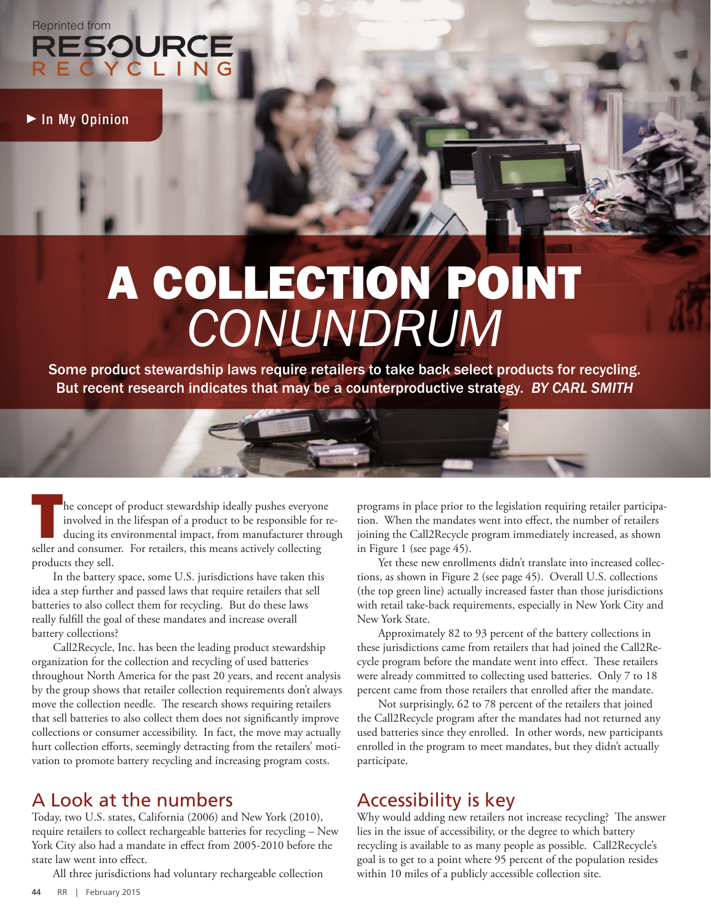RESOURCE<br>RESOURCE<br>RECYCLING

In My Opinion

# A COLLECTION POINT *CONUNDRUM*

Some product stewardship laws require retailers to take back select products for recycling. But recent research indicates that may be a counterproductive strategy. *BY CARL SMITH*



The concept of product stewardship ideally pushes everyone<br>involved in the lifespan of a product to be responsible for reducing<br>its environmental impact, from manufacturer throus<br>seller and consumer. For retailers, this me involved in the lifespan of a product to be responsible for reducing its environmental impact, from manufacturer through seller and consumer. For retailers, this means actively collecting products they sell.

In the battery space, some U.S. jurisdictions have taken this idea a step further and passed laws that require retailers that sell batteries to also collect them for recycling. But do these laws really fulfill the goal of these mandates and increase overall battery collections?

Call2Recycle, Inc. has been the leading product stewardship organization for the collection and recycling of used batteries throughout North America for the past 20 years, and recent analysis by the group shows that retailer collection requirements don't always move the collection needle. The research shows requiring retailers that sell batteries to also collect them does not significantly improve collections or consumer accessibility. In fact, the move may actually hurt collection efforts, seemingly detracting from the retailers' motivation to promote battery recycling and increasing program costs.

#### A Look at the numbers

Today, two U.S. states, California (2006) and New York (2010), require retailers to collect rechargeable batteries for recycling – New York City also had a mandate in effect from 2005-2010 before the state law went into effect.

All three jurisdictions had voluntary rechargeable collection

programs in place prior to the legislation requiring retailer participation. When the mandates went into effect, the number of retailers joining the Call2Recycle program immediately increased, as shown in Figure 1 (see page 45).

Yet these new enrollments didn't translate into increased collections, as shown in Figure 2 (see page 45). Overall U.S. collections (the top green line) actually increased faster than those jurisdictions with retail take-back requirements, especially in New York City and New York State.

Approximately 82 to 93 percent of the battery collections in these jurisdictions came from retailers that had joined the Call2Recycle program before the mandate went into effect. These retailers were already committed to collecting used batteries. Only 7 to 18 percent came from those retailers that enrolled after the mandate.

Not surprisingly, 62 to 78 percent of the retailers that joined the Call2Recycle program after the mandates had not returned any used batteries since they enrolled. In other words, new participants enrolled in the program to meet mandates, but they didn't actually participate.

#### Accessibility is key

Why would adding new retailers not increase recycling? The answer lies in the issue of accessibility, or the degree to which battery recycling is available to as many people as possible. Call2Recycle's goal is to get to a point where 95 percent of the population resides within 10 miles of a publicly accessible collection site.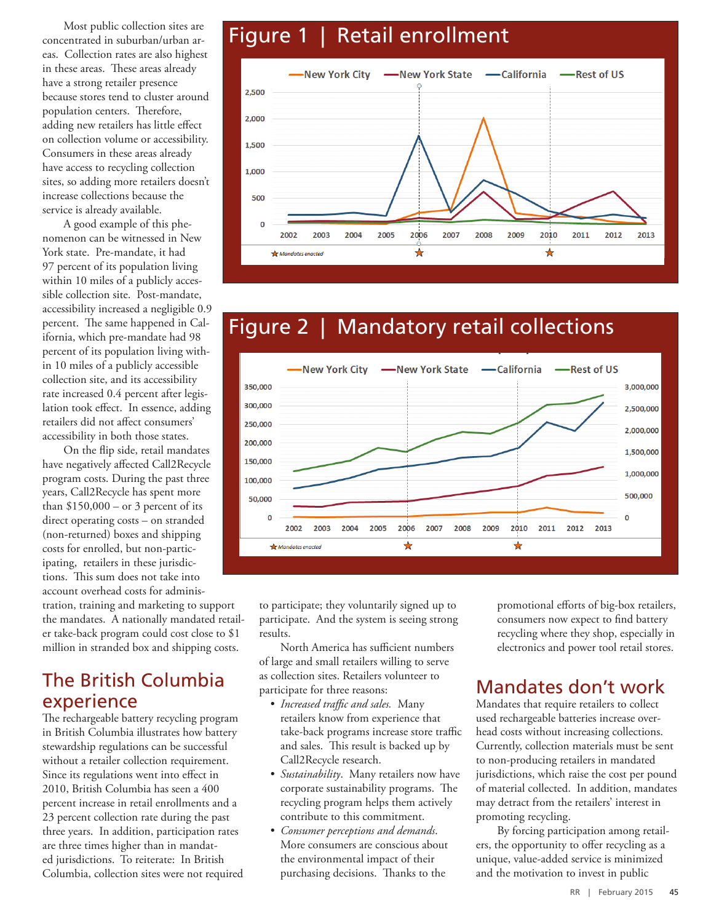Most public collection sites are concentrated in suburban/urban areas. Collection rates are also highest in these areas. These areas already have a strong retailer presence because stores tend to cluster around population centers. Therefore, adding new retailers has little effect on collection volume or accessibility. Consumers in these areas already have access to recycling collection sites, so adding more retailers doesn't increase collections because the service is already available.

A good example of this phenomenon can be witnessed in New York state. Pre-mandate, it had 97 percent of its population living within 10 miles of a publicly accessible collection site. Post-mandate, accessibility increased a negligible 0.9 percent. The same happened in California, which pre-mandate had 98 percent of its population living within 10 miles of a publicly accessible collection site, and its accessibility rate increased 0.4 percent after legislation took effect. In essence, adding retailers did not affect consumers' accessibility in both those states.

On the flip side, retail mandates have negatively affected Call2Recycle program costs. During the past three years, Call2Recycle has spent more than  $$150,000 - or 3$  percent of its direct operating costs – on stranded (non-returned) boxes and shipping costs for enrolled, but non-participating, retailers in these jurisdictions. This sum does not take into account overhead costs for adminis-

tration, training and marketing to support the mandates. A nationally mandated retailer take-back program could cost close to \$1 million in stranded box and shipping costs.

#### The British Columbia experience

The rechargeable battery recycling program in British Columbia illustrates how battery stewardship regulations can be successful without a retailer collection requirement. Since its regulations went into effect in 2010, British Columbia has seen a 400 percent increase in retail enrollments and a 23 percent collection rate during the past three years. In addition, participation rates are three times higher than in mandated jurisdictions. To reiterate: In British Columbia, collection sites were not required

## Figure 1 | Retail enrollment



### Figure 2 | Mandatory retail collections



to participate; they voluntarily signed up to participate. And the system is seeing strong results.

North America has sufficient numbers of large and small retailers willing to serve as collection sites. Retailers volunteer to participate for three reasons:

- *• Increased traffic and sales.* Many retailers know from experience that take-back programs increase store traffic and sales. This result is backed up by Call2Recycle research.
- *• Sustainability*. Many retailers now have corporate sustainability programs. The recycling program helps them actively contribute to this commitment.
- *• Consumer perceptions and demands*. More consumers are conscious about the environmental impact of their purchasing decisions. Thanks to the

promotional efforts of big-box retailers, consumers now expect to find battery recycling where they shop, especially in electronics and power tool retail stores.

#### Mandates don't work

Mandates that require retailers to collect used rechargeable batteries increase overhead costs without increasing collections. Currently, collection materials must be sent to non-producing retailers in mandated jurisdictions, which raise the cost per pound of material collected. In addition, mandates may detract from the retailers' interest in promoting recycling.

By forcing participation among retailers, the opportunity to offer recycling as a unique, value-added service is minimized and the motivation to invest in public